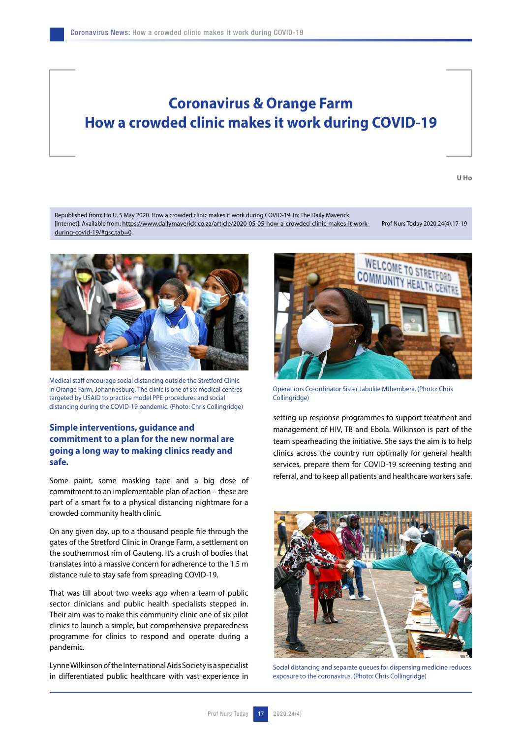## **Coronavirus & Orange Farm How a crowded clinic makes it work during COVID-19**

**U Ho**

Republished from: Ho U. 5 May 2020. How a crowded clinic makes it work during COVID-19. In: The Daily Maverick [Internet]. Available from: https://www.dailymaverick.co.za/article/2020-05-05-how-a-crowded-clinic-makes-it-workduring-covid-19/#gsc.tab=0. Prof Nurs Today 2020;24(4):17-19



Medical staff encourage social distancing outside the Stretford Clinic in Orange Farm, Johannesburg. The clinic is one of six medical centres targeted by USAID to practice model PPE procedures and social distancing during the COVID-19 pandemic. (Photo: Chris Collingridge)

## **Simple interventions, guidance and commitment to a plan for the new normal are going a long way to making clinics ready and safe.**

Some paint, some masking tape and a big dose of commitment to an implementable plan of action – these are part of a smart fix to a physical distancing nightmare for a crowded community health clinic.

On any given day, up to a thousand people file through the gates of the Stretford Clinic in Orange Farm, a settlement on the southernmost rim of Gauteng. It's a crush of bodies that translates into a massive concern for adherence to the 1.5 m distance rule to stay safe from spreading COVID-19.

That was till about two weeks ago when a team of public sector clinicians and public health specialists stepped in. Their aim was to make this community clinic one of six pilot clinics to launch a simple, but comprehensive preparedness programme for clinics to respond and operate during a pandemic.

Lynne Wilkinson of the International Aids Society is a specialist in differentiated public healthcare with vast experience in



Operations Co-ordinator Sister Jabulile Mthembeni. (Photo: Chris Collingridge)

setting up response programmes to support treatment and management of HIV, TB and Ebola. Wilkinson is part of the team spearheading the initiative. She says the aim is to help clinics across the country run optimally for general health services, prepare them for COVID-19 screening testing and referral, and to keep all patients and healthcare workers safe.



Social distancing and separate queues for dispensing medicine reduces exposure to the coronavirus. (Photo: Chris Collingridge)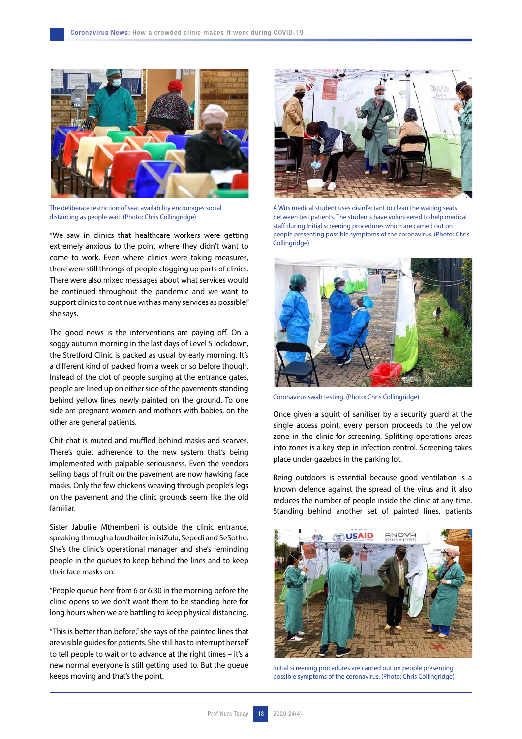

The deliberate restriction of seat availability encourages social distancing as people wait. (Photo: Chris Collingridge)

"We saw in clinics that healthcare workers were getting extremely anxious to the point where they didn't want to come to work. Even where clinics were taking measures, there were still throngs of people clogging up parts of clinics. There were also mixed messages about what services would be continued throughout the pandemic and we want to support clinics to continue with as many services as possible," she says.

The good news is the interventions are paying off. On a soggy autumn morning in the last days of Level 5 lockdown, the Stretford Clinic is packed as usual by early morning. It's a different kind of packed from a week or so before though. Instead of the clot of people surging at the entrance gates, people are lined up on either side of the pavements standing behind yellow lines newly painted on the ground. To one side are pregnant women and mothers with babies, on the other are general patients.

Chit-chat is muted and muffled behind masks and scarves. There's quiet adherence to the new system that's being implemented with palpable seriousness. Even the vendors selling bags of fruit on the pavement are now hawking face masks. Only the few chickens weaving through people's legs on the pavement and the clinic grounds seem like the old familiar.

Sister Jabulile Mthembeni is outside the clinic entrance, speaking through a loudhailer in isiZulu, Sepedi and SeSotho. She's the clinic's operational manager and she's reminding people in the queues to keep behind the lines and to keep their face masks on.

"People queue here from 6 or 6.30 in the morning before the clinic opens so we don't want them to be standing here for long hours when we are battling to keep physical distancing.

"This is better than before," she says of the painted lines that are visible guides for patients. She still has to interrupt herself to tell people to wait or to advance at the right times – it's a new normal everyone is still getting used to. But the queue keeps moving and that's the point.



A Wits medical student uses disinfectant to clean the waiting seats between test patients. The students have volunteered to help medical staff during Initial screening procedures which are carried out on people presenting possible symptoms of the coronavirus. (Photo: Chris Collingridge)



Coronavirus swab testing. (Photo: Chris Collingridge)

Once given a squirt of sanitiser by a security guard at the single access point, every person proceeds to the yellow zone in the clinic for screening. Splitting operations areas into zones is a key step in infection control. Screening takes place under gazebos in the parking lot.

Being outdoors is essential because good ventilation is a known defence against the spread of the virus and it also reduces the number of people inside the clinic at any time. Standing behind another set of painted lines, patients



Initial screening procedures are carried out on people presenting possible symptoms of the coronavirus. (Photo: Chris Collingridge)